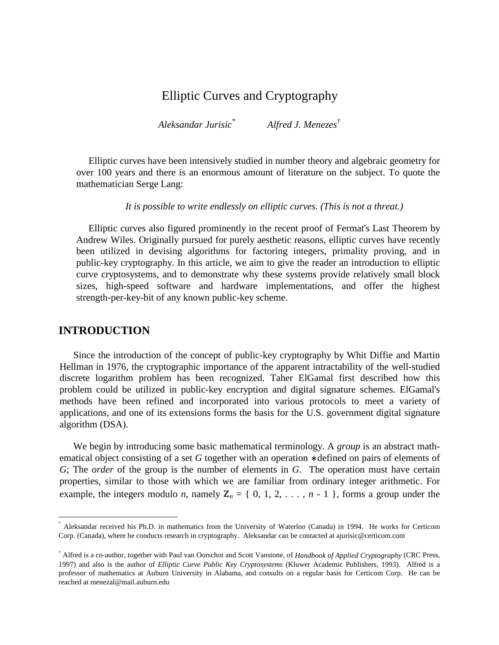# Elliptic Curves and Cryptography

*Aleksandar Jurisic \* Alfred J. Menezes †*

Elliptic curves have been intensively studied in number theory and algebraic geometry for over 100 years and there is an enormous amount of literature on the subject. To quote the mathematician Serge Lang:

*It is possible to write endlessly on elliptic curves. (This is not a threat.)*

Elliptic curves also figured prominently in the recent proof of Fermat's Last Theorem by Andrew Wiles. Originally pursued for purely aesthetic reasons, elliptic curves have recently been utilized in devising algorithms for factoring integers, primality proving, and in public-key cryptography. In this article, we aim to give the reader an introduction to elliptic curve cryptosystems, and to demonstrate why these systems provide relatively small block sizes, high-speed software and hardware implementations, and offer the highest strength-per-key-bit of any known public-key scheme.

# **INTRODUCTION**

 $\overline{a}$ 

Since the introduction of the concept of public-key cryptography by Whit Diffie and Martin Hellman in 1976, the cryptographic importance of the apparent intractability of the well-studied discrete logarithm problem has been recognized. Taher ElGamal first described how this problem could be utilized in public-key encryption and digital signature schemes. ElGamal's methods have been refined and incorporated into various protocols to meet a variety of applications, and one of its extensions forms the basis for the U.S. government digital signature algorithm (DSA).

We begin by introducing some basic mathematical terminology. A *group* is an abstract mathematical object consisting of a set *G* together with an operation ∗ defined on pairs of elements of *G*; The *order* of the group is the number of elements in *G*. The operation must have certain properties, similar to those with which we are familiar from ordinary integer arithmetic. For example, the integers modulo *n*, namely  $\mathbb{Z}_n = \{0, 1, 2, \ldots, n - 1\}$ , forms a group under the

<sup>\*</sup> Aleksandar received his Ph.D. in mathematics from the University of Waterloo (Canada) in 1994. He works for Certicom Corp. (Canada), where he conducts research in cryptography. Aleksandar can be contacted at ajurisic@certicom.com

<sup>†</sup> Alfred is a co-author, together with Paul van Oorschot and Scott Vanstone, of *Handbook of Applied Cryptography* (CRC Press, 1997) and also is the author of *Elliptic Curve Public Key Cryptosystems* (Kluwer Academic Publishers, 1993). Alfred is a professor of mathematics at Auburn University in Alabama, and consults on a regular basis for Certicom Corp. He can be reached at menezal@mail.auburn.edu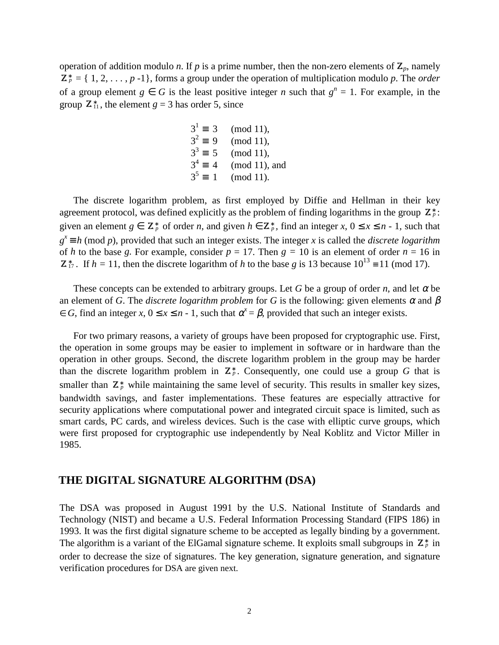operation of addition modulo *n*. If *p* is a prime number, then the non-zero elements of  $\mathbb{Z}_p$ , namely  $\mathbf{Z}_p^* = \{ 1, 2, \ldots, p -1 \}$ , forms a group under the operation of multiplication modulo p. The *order* of a group element  $g \in G$  is the least positive integer *n* such that  $g^n = 1$ . For example, in the group  $\mathbb{Z}_{11}^*$ , the element  $g = 3$  has order 5, since

$$
3^1 \equiv 3 \pmod{11}
$$
,  
\n $3^2 \equiv 9 \pmod{11}$ ,  
\n $3^3 \equiv 5 \pmod{11}$ ,  
\n $3^4 \equiv 4 \pmod{11}$ , and  
\n $3^5 \equiv 1 \pmod{11}$ .

The discrete logarithm problem, as first employed by Diffie and Hellman in their key agreement protocol, was defined explicitly as the problem of finding logarithms in the group  $\mathbb{Z}_{p}^{*}$ : given an element  $g \in \mathbb{Z}_p^*$  of order *n*, and given  $h \in \mathbb{Z}_p^*$ , find an integer  $x, 0 \le x \le n - 1$ , such that  $g^x \equiv h \pmod{p}$ , provided that such an integer exists. The integer *x* is called the *discrete logarithm* of *h* to the base *g*. For example, consider  $p = 17$ . Then  $g = 10$  is an element of order  $n = 16$  in  $\mathbb{Z}_{17}^*$ . If  $h = 11$ , then the discrete logarithm of *h* to the base *g* is 13 because  $10^{13} \equiv 11 \pmod{17}$ .

These concepts can be extended to arbitrary groups. Let *G* be a group of order *n*, and let  $\alpha$  be an element of *G*. The *discrete logarithm problem* for *G* is the following: given elements  $\alpha$  and  $\beta$  $\in G$ , find an integer *x*,  $0 \le x \le n - 1$ , such that  $\alpha^x = \beta$ , provided that such an integer exists.

For two primary reasons, a variety of groups have been proposed for cryptographic use. First, the operation in some groups may be easier to implement in software or in hardware than the operation in other groups. Second, the discrete logarithm problem in the group may be harder than the discrete logarithm problem in  $\mathbb{Z}_p^*$ . Consequently, one could use a group G that is smaller than  $\mathbb{Z}_p^*$  while maintaining the same level of security. This results in smaller key sizes, bandwidth savings, and faster implementations. These features are especially attractive for security applications where computational power and integrated circuit space is limited, such as smart cards, PC cards, and wireless devices. Such is the case with elliptic curve groups, which were first proposed for cryptographic use independently by Neal Koblitz and Victor Miller in 1985.

# **THE DIGITAL SIGNATURE ALGORITHM (DSA)**

The DSA was proposed in August 1991 by the U.S. National Institute of Standards and Technology (NIST) and became a U.S. Federal Information Processing Standard (FIPS 186) in 1993. It was the first digital signature scheme to be accepted as legally binding by a government. The algorithm is a variant of the ElGamal signature scheme. It exploits small subgroups in  $\mathbb{Z}_p^*$  in order to decrease the size of signatures. The key generation, signature generation, and signature verification procedures for DSA are given next.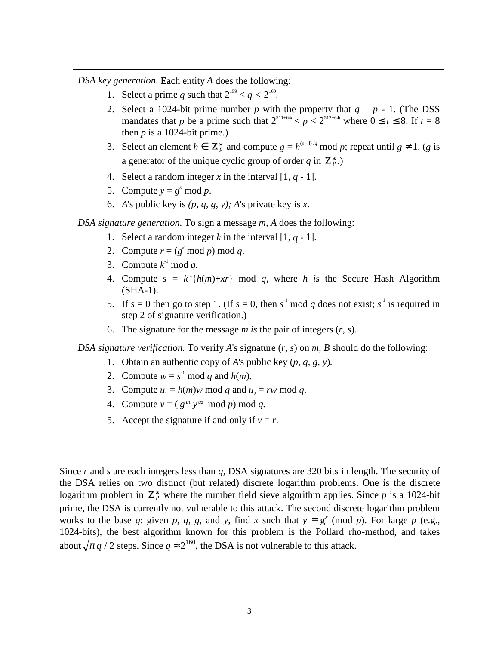*DSA key generation.* Each entity *A* does the following:

- 1. Select a prime *q* such that  $2^{159} < q < 2^{160}$ .
- 2. Select a 1024-bit prime number p with the property that  $q \mid p 1$ . (The DSS mandates that *p* be a prime such that  $2^{511+64t} < p < 2^{512+64t}$  where  $0 \le t \le 8$ . If  $t = 8$ then  $p$  is a 1024-bit prime.)
- 3. Select an element  $h \in \mathbb{Z}_p^*$  and compute  $g = h^{\varphi^{-1}/q} \mod p$ ; repeat until  $g \neq 1$ . (*g* is a generator of the unique cyclic group of order  $q$  in  $\mathbf{Z}_{p}^{*}$ .)
- 4. Select a random integer  $x$  in the interval  $[1, q 1]$ .
- 5. Compute  $y = g^x \mod p$ .
- 6. *A*'s public key is  $(p, q, g, y)$ ; *A*'s private key is *x*.

#### *DSA signature generation.* To sign a message *m, A* does the following:

- 1. Select a random integer  $k$  in the interval  $[1, q 1]$ .
- 2. Compute  $r = (g^k \mod p) \mod q$ .
- 3. Compute  $k^1 \mod q$ .
- 4. Compute  $s = k^{-1}{h(m)+xr}$  mod *q*, where *h* is the Secure Hash Algorithm (SHA-1).
- 5. If  $s = 0$  then go to step 1. (If  $s = 0$ , then  $s^{-1}$  mod q does not exist;  $s^{-1}$  is required in step 2 of signature verification.)
- 6. The signature for the message  $m$  is the pair of integers  $(r, s)$ .

*DSA signature verification.* To verify *A*'s signature (*r*, *s*) on *m, B* should do the following:

- 1. Obtain an authentic copy of *A*'s public key (*p*, *q, g, y*)*.*
- 2. Compute  $w = s^{-1} \mod q$  and  $h(m)$ .
- 3. Compute  $u_1 = h(m)w \mod q$  and  $u_2 = rw \mod q$ .
- 4. Compute  $v = (g^{u_1} y^{u_2} \mod p) \mod q$ .
- 5. Accept the signature if and only if  $v = r$ .

Since *r* and *s* are each integers less than *q*, DSA signatures are 320 bits in length. The security of the DSA relies on two distinct (but related) discrete logarithm problems. One is the discrete logarithm problem in  $\mathbb{Z}_p^*$  where the number field sieve algorithm applies. Since p is a 1024-bit prime, the DSA is currently not vulnerable to this attack. The second discrete logarithm problem works to the base *g*: given *p*, *q*, *g*, and *y*, find *x* such that  $y \equiv g^x \pmod{p}$ . For large *p* (e.g., 1024-bits), the best algorithm known for this problem is the Pollard rho-method, and takes about  $\sqrt{\pi q/2}$  steps. Since  $q \approx 2^{160}$ , the DSA is not vulnerable to this attack.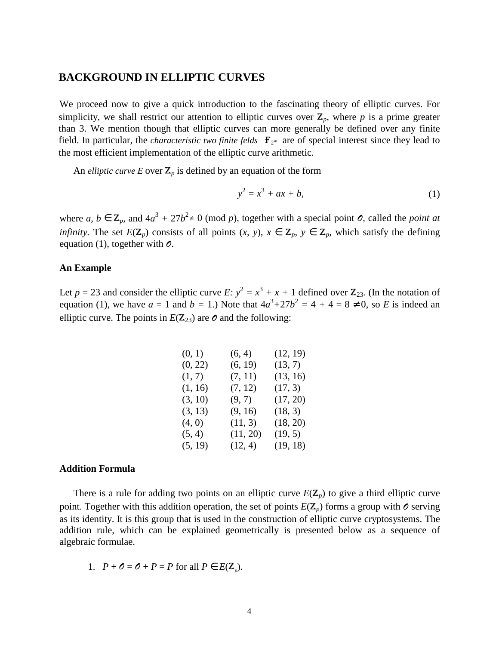# **BACKGROUND IN ELLIPTIC CURVES**

We proceed now to give a quick introduction to the fascinating theory of elliptic curves. For simplicity, we shall restrict our attention to elliptic curves over  $\mathbb{Z}_p$ , where p is a prime greater than 3. We mention though that elliptic curves can more generally be defined over any finite field. In particular, the *characteristic two finite felds*  $\mathbf{F}_{2^m}$  are of special interest since they lead to the most efficient implementation of the elliptic curve arithmetic.

An *elliptic curve E* over  $\mathbb{Z}_p$  is defined by an equation of the form

$$
y^2 = x^3 + ax + b,\tag{1}
$$

where *a*,  $b \in \mathbb{Z}_p$ , and  $4a^3 + 27b^2 \neq 0 \pmod{p}$ , together with a special point *0*, called the *point at infinity.* The set  $E(\mathbf{Z}_p)$  consists of all points  $(x, y)$ ,  $x \in \mathbf{Z}_p$ ,  $y \in \mathbf{Z}_p$ , which satisfy the defining equation (1), together with  $\mathcal{O}$ .

### **An Example**

Let  $p = 23$  and consider the elliptic curve  $E: y^2 = x^3 + x + 1$  defined over  $\mathbb{Z}_{23}$ . (In the notation of equation (1), we have  $a = 1$  and  $b = 1$ .) Note that  $4a^3 + 27b^2 = 4 + 4 = 8 \neq 0$ , so *E* is indeed an elliptic curve. The points in  $E(\mathbb{Z}_{23})$  are  $\mathcal O$  and the following:

| (6, 4)   | (12, 19) |
|----------|----------|
| (6, 19)  | (13, 7)  |
| (7, 11)  | (13, 16) |
| (7, 12)  | (17, 3)  |
| (9, 7)   | (17, 20) |
| (9, 16)  | (18, 3)  |
| (11, 3)  | (18, 20) |
| (11, 20) | (19, 5)  |
| (12, 4)  | (19, 18) |
|          |          |

#### **Addition Formula**

There is a rule for adding two points on an elliptic curve  $E(\mathbf{Z}_p)$  to give a third elliptic curve point. Together with this addition operation, the set of points  $E(\mathbf{Z}_p)$  forms a group with  $\mathbf{\circ}$  serving as its identity. It is this group that is used in the construction of elliptic curve cryptosystems. The addition rule, which can be explained geometrically is presented below as a sequence of algebraic formulae.

1. 
$$
P + \mathcal{O} = \mathcal{O} + P = P
$$
 for all  $P \in E(\mathbb{Z}_p)$ .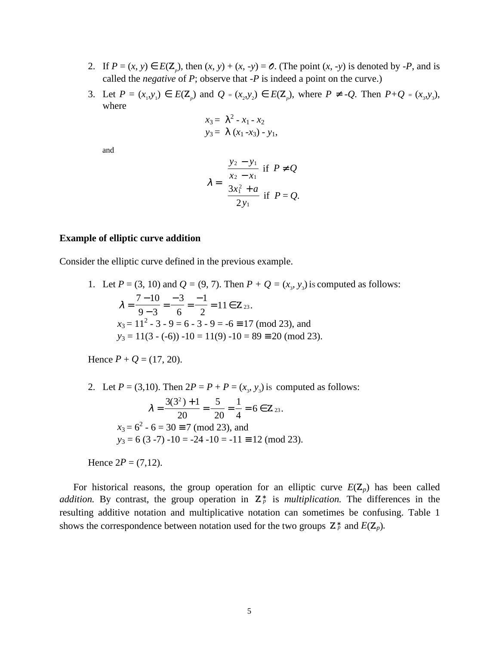- 2. If  $P = (x, y) \in E(\mathbb{Z}_p)$ , then  $(x, y) + (x, -y) = \emptyset$ . (The point  $(x, -y)$  is denoted by -*P*, and is called the *negative* of *P*; observe that -*P* is indeed a point on the curve.)
- 3. Let  $P = (x_1, y_1) \in E(\mathbb{Z}_p)$  and  $Q = (x_2, y_2) \in E(\mathbb{Z}_p)$ , where  $P \neq -Q$ . Then  $P+Q = (x_3, y_3)$ , where

$$
x_3 = \lambda^2 - x_1 - x_2
$$
  

$$
y_3 = \lambda (x_1 - x_3) - y_1,
$$

and

$$
\lambda = \begin{cases} \frac{y_2 - y_1}{x_2 - x_1} & \text{if } P \neq Q \\ \frac{3x_1^2 + a}{2y_1} & \text{if } P = Q. \end{cases}
$$

#### **Example of elliptic curve addition**

Consider the elliptic curve defined in the previous example.

1. Let  $P = (3, 10)$  and  $Q = (9, 7)$ . Then  $P + Q = (x_3, y_3)$  is computed as follows:  $\lambda =$ − − = − = −  $= 11 \in$  $7 - 10$  $9 - 3$ 3 6 1 2  $11 \in \mathbb{Z}_{23}$ .  $x_3 = 11^2 - 3 - 9 = 6 - 3 - 9 = -6 \equiv 17 \pmod{23}$ , and  $y_3 = 11(3 - (-6)) -10 = 11(9) -10 = 89 \equiv 20 \pmod{23}$ .

Hence  $P + Q = (17, 20)$ .

2. Let  $P = (3, 10)$ . Then  $2P = P + P = (x_3, y_3)$  is computed as follows:  $\lambda =$ +  $=\frac{6}{20}=\frac{1}{4}=6.6$  $3(3^2) + 1$ 20 5 20 1 4 6 2 23  $(3^2)$  $\mathbf{Z}_{23}$  .  $x_3 = 6^2 - 6 = 30 \equiv 7 \pmod{23}$ , and  $y_3 = 6(3 - 7) - 10 = -24 - 10 = -11 \equiv 12 \pmod{23}$ .

Hence  $2P = (7,12)$ .

For historical reasons, the group operation for an elliptic curve  $E(\mathbb{Z}_p)$  has been called *addition.* By contrast, the group operation in  $\mathbb{Z}_p^*$  is *multiplication*. The differences in the resulting additive notation and multiplicative notation can sometimes be confusing. Table 1 shows the correspondence between notation used for the two groups  $\mathbb{Z}_p^*$  and  $E(\mathbb{Z}_p)$ .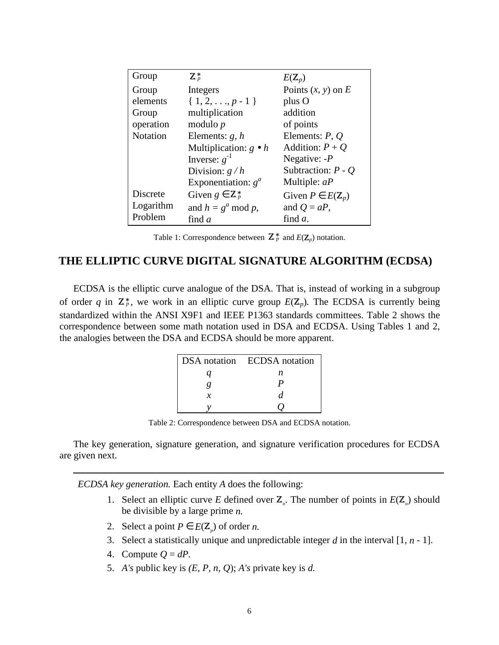| Group           | $\mathbf{Z}_p^*$              | $E(\mathbf{Z}_p)$             |
|-----------------|-------------------------------|-------------------------------|
| Group           | Integers                      | Points $(x, y)$ on E          |
| elements        | $\{1, 2, \ldots, p-1\}$       | plus O                        |
| Group           | multiplication                | addition                      |
| operation       | modulo $p$                    | of points                     |
| <b>Notation</b> | Elements: $g, h$              | Elements: $P, Q$              |
|                 | Multiplication: $g \bullet h$ | Addition: $P + Q$             |
|                 | Inverse: $g^{-1}$             | Negative: $-P$                |
|                 | Division: $g/h$               | Subtraction: $P - Q$          |
|                 | Exponentiation: $g^a$         | Multiple: $aP$                |
| <b>Discrete</b> | Given $g \in \mathbb{Z}_p^*$  | Given $P \in E(\mathbb{Z}_p)$ |
| Logarithm       | and $h = g^a \bmod p$ ,       | and $Q = aP$ ,                |
| Problem         | find $a$                      | find <i>a</i> .               |

| Table 1: Correspondence between $\mathbb{Z}_p^*$ and $E(\mathbb{Z}_p)$ notation. |  |  |
|----------------------------------------------------------------------------------|--|--|
|----------------------------------------------------------------------------------|--|--|

# **THE ELLIPTIC CURVE DIGITAL SIGNATURE ALGORITHM (ECDSA)**

ECDSA is the elliptic curve analogue of the DSA. That is, instead of working in a subgroup of order q in  $\mathbb{Z}_p^*$ , we work in an elliptic curve group  $E(\mathbb{Z}_p)$ . The ECDSA is currently being standardized within the ANSI X9F1 and IEEE P1363 standards committees. Table 2 shows the correspondence between some math notation used in DSA and ECDSA. Using Tables 1 and 2, the analogies between the DSA and ECDSA should be more apparent.

|   | DSA notation ECDSA notation |
|---|-----------------------------|
| а | n                           |
| ų | р                           |
| x | d                           |
|   |                             |

Table 2: Correspondence between DSA and ECDSA notation.

The key generation, signature generation, and signature verification procedures for ECDSA are given next.

*ECDSA key generation.* Each entity *A* does the following:

- 1. Select an elliptic curve *E* defined over  $\mathbb{Z}_p$ . The number of points in  $E(\mathbb{Z}_p)$  should be divisible by a large prime *n.*
- 2. Select a point  $P \in E(\mathbb{Z}_p)$  of order *n*.
- 3. Select a statistically unique and unpredictable integer *d* in the interval [1, *n*  1].
- 4. Compute  $Q = dP$ .
- 5. *A's* public key is *(E, P, n*, *Q*); *A's* private key is *d.*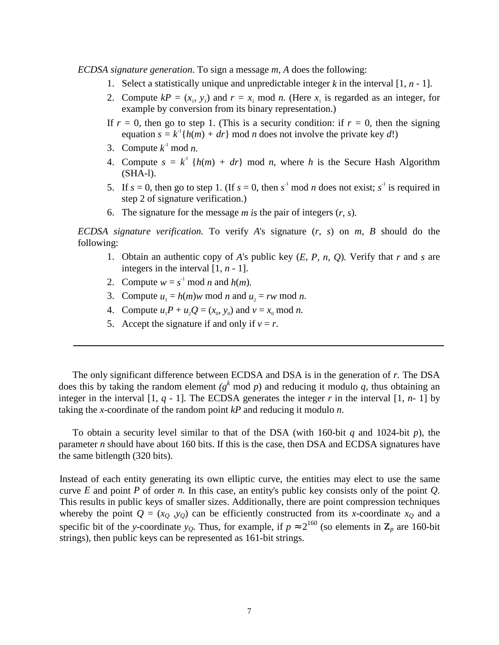*ECDSA signature generation*. To sign a message *m, A* does the following:

- 1. Select a statistically unique and unpredictable integer  $k$  in the interval  $[1, n 1]$ .
- 2. Compute  $kP = (x_1, y_1)$  and  $r = x_1 \mod n$ . (Here  $x_1$  is regarded as an integer, for example by conversion from its binary representation.)
- If  $r = 0$ , then go to step 1. (This is a security condition: if  $r = 0$ , then the signing equation  $s = k^{-1}{h(m) + dr}$  mod *n* does not involve the private key *d*!)
- 3. Compute  $k^1$  mod *n*.
- 4. Compute  $s = k^1$  { $h(m) + dr$ } mod *n*, where *h* is the Secure Hash Algorithm (SHA-l).
- 5. If  $s = 0$ , then go to step 1. (If  $s = 0$ , then  $s^{-1}$  mod *n* does not exist;  $s^{-1}$  is required in step 2 of signature verification.)
- 6. The signature for the message *m is* the pair of integers (*r, s*)*.*

*ECDSA signature verification.* To verify *A*'s signature (*r*, *s*) on *m, B* should do the following:

- 1. Obtain an authentic copy of *A*'s public key (*E*, *P, n, Q*)*.* Verify that *r* and *s* are integers in the interval [1, *n* - 1].
- 2. Compute  $w = s^{-1} \text{ mod } n$  and  $h(m)$ .
- 3. Compute  $u_1 = h(m)w \mod n$  and  $u_2 = rw \mod n$ .
- 4. Compute  $u_1P + u_2Q = (x_0, y_0)$  and  $v = x_0 \text{ mod } n$ .
- 5. Accept the signature if and only if  $v = r$ .

The only significant difference between ECDSA and DSA is in the generation of *r.* The DSA does this by taking the random element  $(g^k \mod p)$  and reducing it modulo q, thus obtaining an integer in the interval  $[1, q - 1]$ . The ECDSA generates the integer *r* in the interval  $[1, n - 1]$  by taking the *x*-coordinate of the random point *kP* and reducing it modulo *n*.

To obtain a security level similar to that of the DSA (with 160-bit *q* and 1024-bit *p*), the parameter *n* should have about 160 bits. If this is the case, then DSA and ECDSA signatures have the same bitlength (320 bits).

Instead of each entity generating its own elliptic curve, the entities may elect to use the same curve *E* and point *P* of order *n.* In this case, an entity's public key consists only of the point *Q*. This results in public keys of smaller sizes. Additionally, there are point compression techniques whereby the point  $Q = (x_Q, y_Q)$  can be efficiently constructed from its *x*-coordinate  $x_Q$  and a specific bit of the *y*-coordinate *y*<sub>*Q*</sub>. Thus, for example, if  $p \approx 2^{160}$  (so elements in  $\mathbb{Z}_p$  are 160-bit strings), then public keys can be represented as 161-bit strings.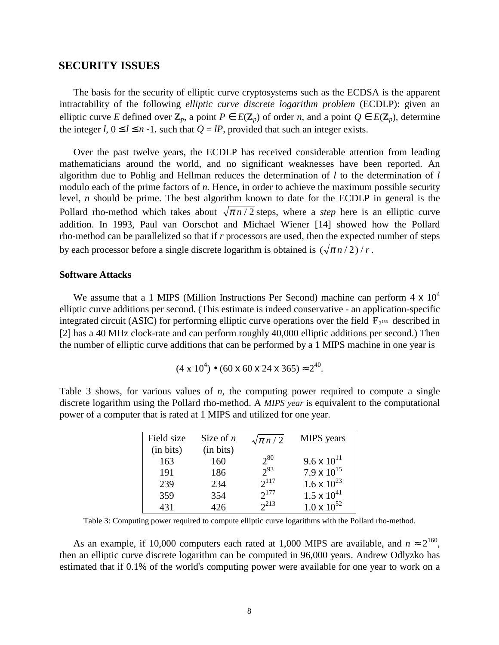## **SECURITY ISSUES**

The basis for the security of elliptic curve cryptosystems such as the ECDSA is the apparent intractability of the following *elliptic curve discrete logarithm problem* (ECDLP): given an elliptic curve *E* defined over  $\mathbb{Z}_p$ , a point  $P \in E(\mathbb{Z}_p)$  of order *n*, and a point  $Q \in E(\mathbb{Z}_p)$ , determine the integer *l*,  $0 \le l \le n - 1$ , such that  $Q = lP$ , provided that such an integer exists.

Over the past twelve years, the ECDLP has received considerable attention from leading mathematicians around the world, and no significant weaknesses have been reported. An algorithm due to Pohlig and Hellman reduces the determination of *l* to the determination of *l* modulo each of the prime factors of *n*. Hence, in order to achieve the maximum possible security level, *n* should be prime. The best algorithm known to date for the ECDLP in general is the Pollard rho-method which takes about  $\sqrt{\pi n/2}$  steps, where a *step* here is an elliptic curve addition. In 1993, Paul van Oorschot and Michael Wiener [14] showed how the Pollard rho-method can be parallelized so that if *r* processors are used, then the expected number of steps by each processor before a single discrete logarithm is obtained is  $(\sqrt{\pi n/2})/r$ .

#### **Software Attacks**

We assume that a 1 MIPS (Million Instructions Per Second) machine can perform  $4 \times 10^4$ elliptic curve additions per second. (This estimate is indeed conservative - an application-specific integrated circuit (ASIC) for performing elliptic curve operations over the field  $\mathbf{F}_{2^{155}}$  described in [2] has a 40 MHz clock-rate and can perform roughly 40,000 elliptic additions per second.) Then the number of elliptic curve additions that can be performed by a 1 MIPS machine in one year is

$$
(4 \times 10^4) \bullet (60 \times 60 \times 24 \times 365) \approx 2^{40}
$$
.

Table 3 shows, for various values of *n*, the computing power required to compute a single discrete logarithm using the Pollard rho-method. A *MIPS year* is equivalent to the computational power of a computer that is rated at 1 MIPS and utilized for one year.

| Field size | Size of $n$ | $\sqrt{\pi n/2}$ | <b>MIPS</b> years    |
|------------|-------------|------------------|----------------------|
| (in bits)  | (in bits)   |                  |                      |
| 163        | 160         | $2^{80}$         | 9.6 x $10^{11}$      |
| 191        | 186         | $2^{93}$         | 7.9 x $10^{15}$      |
| 239        | 234         | $2^{117}$        | $1.6 \times 10^{23}$ |
| 359        | 354         | $2^{177}$        | $1.5 \times 10^{41}$ |
| 431        | 426         | $2^{213}$        | $1.0 \times 10^{52}$ |

Table 3: Computing power required to compute elliptic curve logarithms with the Pollard rho-method.

As an example, if 10,000 computers each rated at 1,000 MIPS are available, and  $n \approx 2^{160}$ , then an elliptic curve discrete logarithm can be computed in 96,000 years. Andrew Odlyzko has estimated that if 0.1% of the world's computing power were available for one year to work on a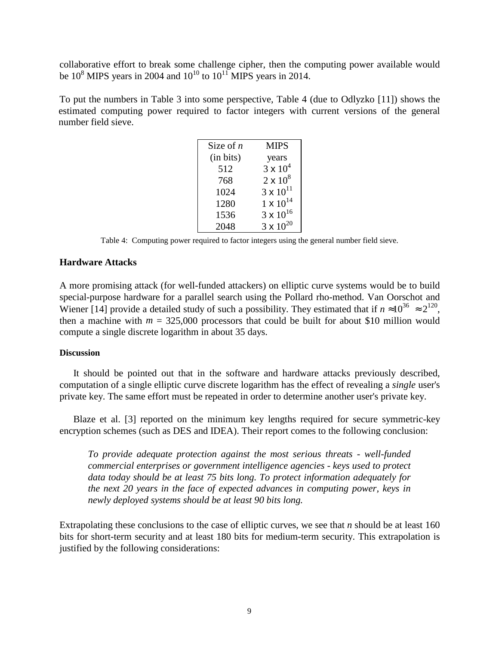collaborative effort to break some challenge cipher, then the computing power available would be  $10^8$  MIPS years in 2004 and  $10^{10}$  to  $10^{11}$  MIPS years in 2014.

To put the numbers in Table 3 into some perspective, Table 4 (due to Odlyzko [11]) shows the estimated computing power required to factor integers with current versions of the general number field sieve.

| Size of $n$ | <b>MIPS</b>        |
|-------------|--------------------|
| (in bits)   | years              |
| 512         | $3 \times 10^{4}$  |
| 768         | $2 \times 10^8$    |
| 1024        | $3 \times 10^{11}$ |
| 1280        | $1 \times 10^{14}$ |
| 1536        | $3 \times 10^{16}$ |
| 2048        | $3 \times 10^{20}$ |

Table 4: Computing power required to factor integers using the general number field sieve.

# **Hardware Attacks**

A more promising attack (for well-funded attackers) on elliptic curve systems would be to build special-purpose hardware for a parallel search using the Pollard rho-method. Van Oorschot and Wiener [14] provide a detailed study of such a possibility. They estimated that if  $n \approx 10^{36} \approx 2^{120}$ , then a machine with  $m = 325,000$  processors that could be built for about \$10 million would compute a single discrete logarithm in about 35 days.

### **Discussion**

It should be pointed out that in the software and hardware attacks previously described, computation of a single elliptic curve discrete logarithm has the effect of revealing a *single* user's private key. The same effort must be repeated in order to determine another user's private key.

Blaze et al. [3] reported on the minimum key lengths required for secure symmetric-key encryption schemes (such as DES and IDEA). Their report comes to the following conclusion:

*To provide adequate protection against the most serious threats - well-funded commercial enterprises or government intelligence agencies - keys used to protect data today should be at least 75 bits long. To protect information adequately for the next 20 years in the face of expected advances in computing power, keys in newly deployed systems should be at least 90 bits long.*

Extrapolating these conclusions to the case of elliptic curves, we see that *n* should be at least 160 bits for short-term security and at least 180 bits for medium-term security. This extrapolation is justified by the following considerations: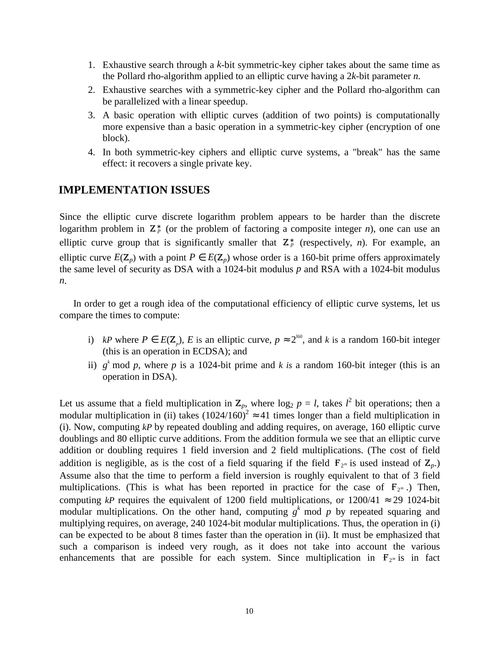- 1. Exhaustive search through a *k*-bit symmetric-key cipher takes about the same time as the Pollard rho-algorithm applied to an elliptic curve having a 2*k*-bit parameter *n.*
- 2. Exhaustive searches with a symmetric-key cipher and the Pollard rho-algorithm can be parallelized with a linear speedup.
- 3. A basic operation with elliptic curves (addition of two points) is computationally more expensive than a basic operation in a symmetric-key cipher (encryption of one block).
- 4. In both symmetric-key ciphers and elliptic curve systems, a "break" has the same effect: it recovers a single private key.

# **IMPLEMENTATION ISSUES**

Since the elliptic curve discrete logarithm problem appears to be harder than the discrete logarithm problem in  $\mathbb{Z}_p^*$  (or the problem of factoring a composite integer *n*), one can use an elliptic curve group that is significantly smaller that  $\mathbb{Z}_p^*$  (respectively, *n*). For example, an elliptic curve  $E(\mathbf{Z}_p)$  with a point  $P \in E(\mathbf{Z}_p)$  whose order is a 160-bit prime offers approximately the same level of security as DSA with a 1024-bit modulus *p* and RSA with a 1024-bit modulus *n*.

In order to get a rough idea of the computational efficiency of elliptic curve systems, let us compare the times to compute:

- i) *kP* where  $P \in E(\mathbb{Z}_p)$ , *E* is an elliptic curve,  $p \approx 2^{160}$ , and *k* is a random 160-bit integer (this is an operation in ECDSA); and
- ii)  $g^k$  mod p, where p is a 1024-bit prime and k is a random 160-bit integer (this is an operation in DSA).

Let us assume that a field multiplication in  $\mathbb{Z}_p$ , where  $\log_2 p = l$ , takes  $l^2$  bit operations; then a modular multiplication in (ii) takes  $(1024/160)^2 \approx 41$  times longer than a field multiplication in (i). Now, computing *kP* by repeated doubling and adding requires, on average, 160 elliptic curve doublings and 80 elliptic curve additions. From the addition formula we see that an elliptic curve addition or doubling requires 1 field inversion and 2 field multiplications. (The cost of field addition is negligible, as is the cost of a field squaring if the field  $\mathbf{F}_{2^m}$  is used instead of  $\mathbf{Z}_p$ .) Assume also that the time to perform a field inversion is roughly equivalent to that of 3 field multiplications. (This is what has been reported in practice for the case of  $\mathbf{F}_{2^m}$ .) Then, computing *kP* requires the equivalent of 1200 field multiplications, or  $1200/41 \approx 29$  1024-bit modular multiplications. On the other hand, computing  $g^k$  mod p by repeated squaring and multiplying requires, on average, 240 1024-bit modular multiplications. Thus, the operation in (i) can be expected to be about 8 times faster than the operation in (ii). It must be emphasized that such a comparison is indeed very rough, as it does not take into account the various enhancements that are possible for each system. Since multiplication in  $\mathbf{F}_{2^m}$  is in fact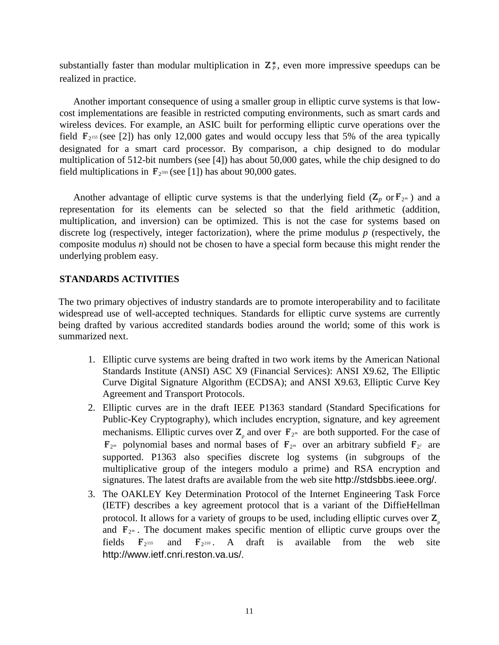substantially faster than modular multiplication in  $\mathbb{Z}_p^*$ , even more impressive speedups can be realized in practice.

Another important consequence of using a smaller group in elliptic curve systems is that lowcost implementations are feasible in restricted computing environments, such as smart cards and wireless devices. For example, an ASIC built for performing elliptic curve operations over the field  $\mathbf{F}_2$ <sup>155</sup> (see [2]) has only 12,000 gates and would occupy less that 5% of the area typically designated for a smart card processor. By comparison, a chip designed to do modular multiplication of 512-bit numbers (see [4]) has about 50,000 gates, while the chip designed to do field multiplications in  $\mathbf{F}_{2^{593}}$  (see [1]) has about 90,000 gates.

Another advantage of elliptic curve systems is that the underlying field  $(Z_p \text{ or } F_{2^m})$  and a representation for its elements can be selected so that the field arithmetic (addition, multiplication, and inversion) can be optimized. This is not the case for systems based on discrete log (respectively, integer factorization), where the prime modulus *p* (respectively, the composite modulus *n*) should not be chosen to have a special form because this might render the underlying problem easy.

# **STANDARDS ACTIVITIES**

The two primary objectives of industry standards are to promote interoperability and to facilitate widespread use of well-accepted techniques. Standards for elliptic curve systems are currently being drafted by various accredited standards bodies around the world; some of this work is summarized next.

- 1. Elliptic curve systems are being drafted in two work items by the American National Standards Institute (ANSI) ASC X9 (Financial Services): ANSI X9.62, The Elliptic Curve Digital Signature Algorithm (ECDSA); and ANSI X9.63, Elliptic Curve Key Agreement and Transport Protocols.
- 2. Elliptic curves are in the draft IEEE P1363 standard (Standard Specifications for Public-Key Cryptography), which includes encryption, signature, and key agreement mechanisms. Elliptic curves over  $\mathbb{Z}_p$  and over  $\mathbb{F}_{2^m}$  are both supported. For the case of  $\mathbf{F}_{2^m}$  polynomial bases and normal bases of  $\mathbf{F}_{2^m}$  over an arbitrary subfield  $\mathbf{F}_{2^l}$  are supported. P1363 also specifies discrete log systems (in subgroups of the multiplicative group of the integers modulo a prime) and RSA encryption and signatures. The latest drafts are available from the web site http://stdsbbs.ieee.org/.
- 3. The OAKLEY Key Determination Protocol of the Internet Engineering Task Force (IETF) describes a key agreement protocol that is a variant of the DiffieHellman protocol. It allows for a variety of groups to be used, including elliptic curves over  $\mathbf{Z}_p$ and  $\mathbf{F}_{2^m}$ . The document makes specific mention of elliptic curve groups over the fields  $\mathbf{F}_{2^{155}}$  $155$  and  $\mathbf{F}_{2^{210}}$ . A draft is available from the web site http://www.ietf.cnri.reston.va.us/.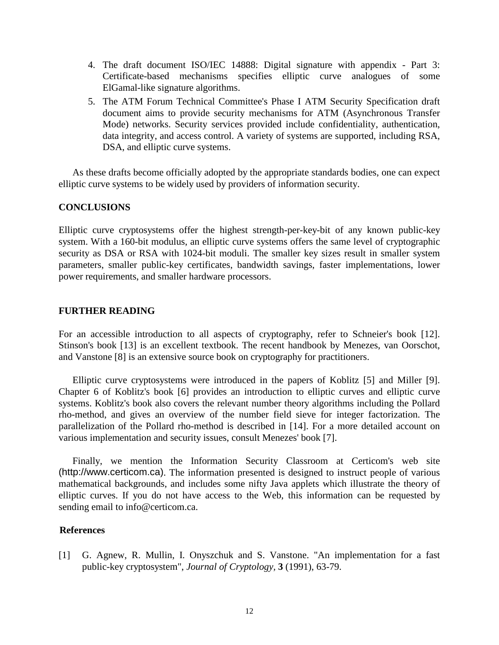- 4. The draft document ISO/IEC 14888: Digital signature with appendix Part 3: Certificate-based mechanisms specifies elliptic curve analogues of some ElGamal-like signature algorithms.
- 5. The ATM Forum Technical Committee's Phase I ATM Security Specification draft document aims to provide security mechanisms for ATM (Asynchronous Transfer Mode) networks. Security services provided include confidentiality, authentication, data integrity, and access control. A variety of systems are supported, including RSA, DSA, and elliptic curve systems.

As these drafts become officially adopted by the appropriate standards bodies, one can expect elliptic curve systems to be widely used by providers of information security.

## **CONCLUSIONS**

Elliptic curve cryptosystems offer the highest strength-per-key-bit of any known public-key system. With a 160-bit modulus, an elliptic curve systems offers the same level of cryptographic security as DSA or RSA with 1024-bit moduli. The smaller key sizes result in smaller system parameters, smaller public-key certificates, bandwidth savings, faster implementations, lower power requirements, and smaller hardware processors.

## **FURTHER READING**

For an accessible introduction to all aspects of cryptography, refer to Schneier's book [12]. Stinson's book [13] is an excellent textbook. The recent handbook by Menezes, van Oorschot, and Vanstone [8] is an extensive source book on cryptography for practitioners.

Elliptic curve cryptosystems were introduced in the papers of Koblitz [5] and Miller [9]. Chapter 6 of Koblitz's book [6] provides an introduction to elliptic curves and elliptic curve systems. Koblitz's book also covers the relevant number theory algorithms including the Pollard rho-method, and gives an overview of the number field sieve for integer factorization. The parallelization of the Pollard rho-method is described in [14]. For a more detailed account on various implementation and security issues, consult Menezes' book [7].

Finally, we mention the Information Security Classroom at Certicom's web site (http://www.certicom.ca). The information presented is designed to instruct people of various mathematical backgrounds, and includes some nifty Java applets which illustrate the theory of elliptic curves. If you do not have access to the Web, this information can be requested by sending email to info@certicom.ca.

### **References**

[1] G. Agnew, R. Mullin, I. Onyszchuk and S. Vanstone. "An implementation for a fast public-key cryptosystem", *Journal of Cryptology,* **3** (1991), 63-79.